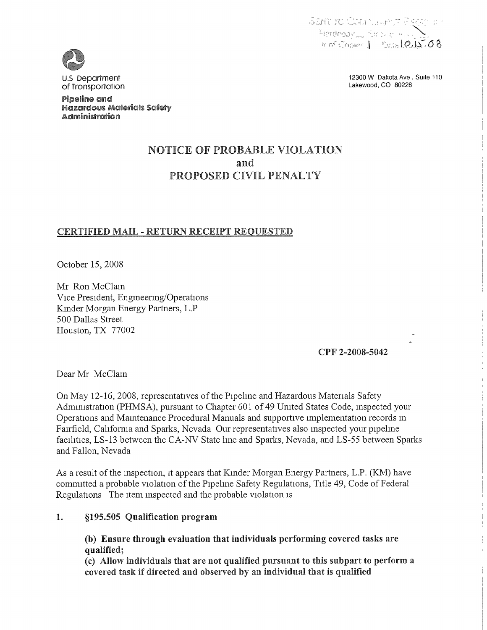

U.S Department of Transportation

Pipeline and Hazardous Maferialls Safely **Administration** 

12300 W Dakota Ave, Suite 110 Lakewood, CO 80228

# **NOTICE OF PROBABLE VIOLATION** and PROPOSED CIVIL PENALTY

## CERTIFIED MAIL - RETURN RECEIPT REQUESTED

October 15, 2008

Mr Ron McClain Vice President, Engineering/Operations Kinder Morgan Energy Partners, L. P 500 Dallas Street Houston, TX 77002

CPF 2-2008-5042

Dear Mr McClain

On May 12-16, 2008, representatives of the Pipeline and Hazardous Materials Safety Administration (PHMSA), pursuant to Chapter 601 of 49 United States Code, inspected your Operations and Maintenance Procedural Manuals and supportive implementation records in Fairfield, Cahfornia and Sparks, Nevada Our representatives also inspected your pipehne facilities, LS-13 between the CA-NV State line and Sparks, Nevada, and LS-55 between Sparks and Fallon, Nevada

As a result of the inspection, it appears that Kinder Morgan Energy Partners, L.P. (KM) have committed a probable violation of the Pipehne Safety Regulations, Title 49, Code of Federal Regulations The item inspected and the probable violation is

#### $\mathbf{1}$ . §195.505 Qualification program

(b) Ensure through evaluation that individuals performing covered tasks are qualified;

(c) Allow individuals that are not qualified pursuant to this subpart to perform a covered task if directed and observed by an individual that is qualified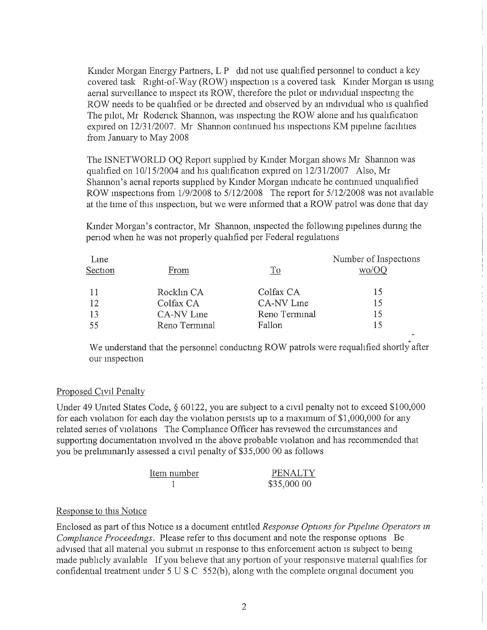Kinder Morgan Energy Partners, L P did not use qualified personnel to conduct a key covered task Right-of-Way {ROW) inspection is a covered task Kinder Morgan is usmg aerial surveillance to mspect its ROW, therefore the pilot or individual inspecting the ROW needs to be quahfied or be directed and observed by an individual who is quahfied The pilot, Mr Roderick Shannon, was inspecting the ROW alone and his quahfication expired on 12/31/2007, Mr Shannon contmued his inspections KM pipehne facihties from January to May 2008

The ISNETWORLD OQ Report supphed by Kinder Morgan shows Mr Shannon was qualified on 10/15/2004 and his quahfication expired on 12/31/2007 Also, Mr Shannon's aerial reports supphed by Kinder Morgan indicate he continued unquahfied ROW inspections from 1/9/2008 to 5/12/2008 The report for 5/12/2008 was not available at the time of this inspection, but we were informed that a ROW patrol was done that day

Kinder Morgan's contractor, Mr Shannon, inspected the following pipehnes dunng the period when he was not properly quahfied per Federal regulations

| Line    |               |               | Number of Inspections |
|---------|---------------|---------------|-----------------------|
| Section | From          | To            | wo/OO                 |
| -11     | Rocklin CA    | Colfax CA     | 15                    |
| 12      | Colfax CA     | CA-NV Line    | 15                    |
| 13      | CA-NV Line    | Reno Terminal | 15                    |
| 55      | Reno Terminal | Fallon        |                       |

We understand that the personnel conducting ROW patrols were requalified shortly after our inspection

## Proposed Civil Penalty

Under 49 United States Code, § 60122, you are subject to a civil penalty not to exceed \$100,000 for each violation for each day the violation persists up to a maximum of \$1, 000, 000 for any related series of violations The Comphance Officer has reviewed the circumstances and supporting documentation involved in the above probable violation and has recommended that you be prehminarily assessed a civil penalty of \$35, 000 00 as follows

| Item number | PENALTY     |
|-------------|-------------|
|             | \$35,000 00 |

### Response to this Notice

Enclosed as part of this Notice is a document entitled Response Options for Pipeline Operators in Compliance Proceedings. Please refer to this document and note the response options Be advised that all material you submit in response to this enforcement action is subject to being made publicly available If you beheve that any portion of your responsive material quahfies for confidential treatment under 5 U S C 552{b), along with the complete origmal document you